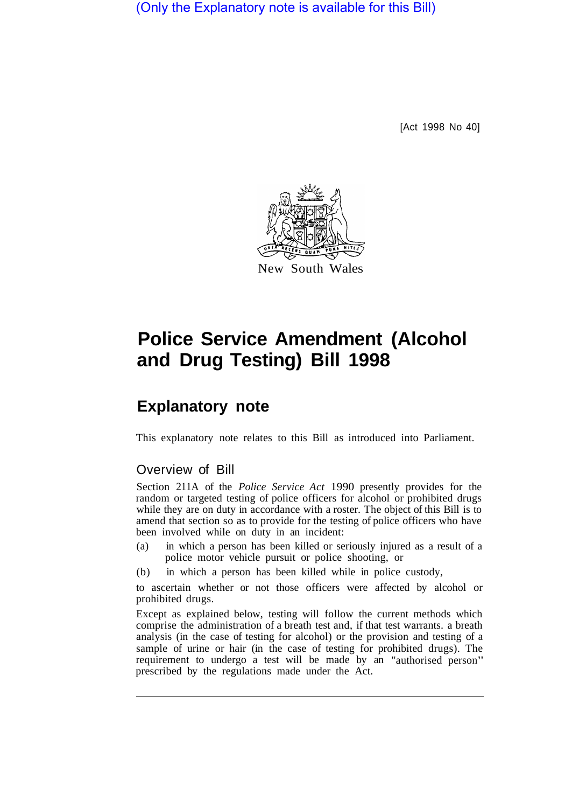(Only the Explanatory note is available for this Bill)

[Act 1998 No 40]



## **Police Service Amendment (Alcohol and Drug Testing) Bill 1998**

## **Explanatory note**

This explanatory note relates to this Bill as introduced into Parliament.

## Overview of Bill

Section 211A of the *Police Service Act* 1990 presently provides for the random or targeted testing of police officers for alcohol or prohibited drugs while they are on duty in accordance with a roster. The object of this Bill is to amend that section so as to provide for the testing of police officers who have been involved while on duty in an incident:

- (a) in which a person has been killed or seriously injured as a result of a police motor vehicle pursuit or police shooting, or
- (b) in which a person has been killed while in police custody,

to ascertain whether or not those officers were affected by alcohol or prohibited drugs.

Except as explained below, testing will follow the current methods which comprise the administration of a breath test and, if that test warrants. a breath analysis (in the case of testing for alcohol) or the provision and testing of a sample of urine or hair (in the case of testing for prohibited drugs). The requirement to undergo a test will be made by an "authorised person" prescribed by the regulations made under the Act.